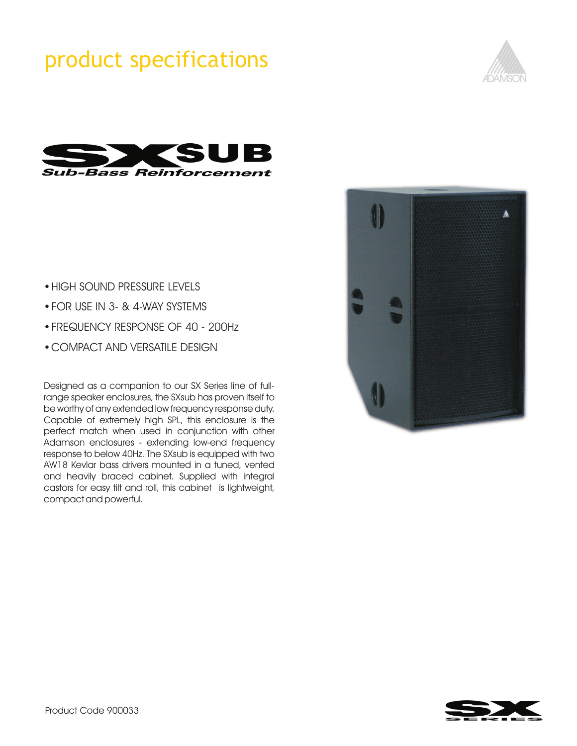# product specifications





- HIGH SOUND PRESSURE LEVELS<br>• FOR USE IN 3- & 4-WAY SYSTEMS
- 
- FREQUENCY RESPONSE OF 40 200Hz ?FREQUENCY RESPONSE OF 40 - 200Hz COMPACT AND VERSATILE DESIGN
- 

Designed as a companion to our SX Series line of fullrange speaker enclosures, the SXsub has proven itself to be worthy of any extended low frequency response duty. Capable of extremely high SPL, this enclosure is the perfect match when used in conjunction with other Adamson enclosures - extending low-end frequency response to below 40Hz. The SXsub is equipped with two AW18 Kevlar bass drivers mounted in a tuned, vented and heavily braced cabinet. Supplied with integral castors for easy tilt and roll, this cabinet is lightweight, compact and powerful.